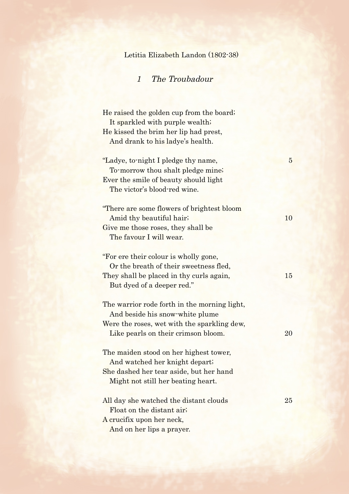## Letitia Elizabeth Landon (1802-38)

## 1 The Troubadour

He raised the golden cup from the board; It sparkled with purple wealth; He kissed the brim her lip had prest, And drank to his ladye's health. "Ladye, to-night I pledge thy name, 5 To-morrow thou shalt pledge mine; Ever the smile of beauty should light The victor's blood-red wine. "There are some flowers of brightest bloom Amid thy beautiful hair; 10 Give me those roses, they shall be The favour I will wear. "For ere their colour is wholly gone, Or the breath of their sweetness fled, They shall be placed in thy curls again, 15 But dyed of a deeper red." The warrior rode forth in the morning light, And beside his snow-white plume Were the roses, wet with the sparkling dew, Like pearls on their crimson bloom. 20 The maiden stood on her highest tower, And watched her knight depart; She dashed her tear aside, but her hand Might not still her beating heart. All day she watched the distant clouds 25 Float on the distant air; A crucifix upon her neck, And on her lips a prayer.